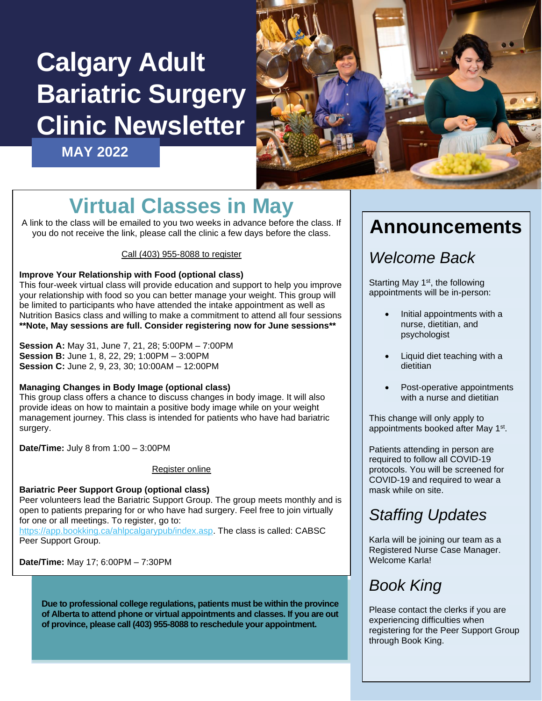# **Calgary Adult Bariatric Surgery Clinic Newsletter**

**MAY 2022**



## **Virtual Classes in May**

A link to the class will be emailed to you two weeks in advance before the class. If you do not receive the link, please call the clinic a few days before the class.

### Call (403) 955-8088 to register

### **Improve Your Relationship with Food (optional class)**

This four-week virtual class will provide education and support to help you improve your relationship with food so you can better manage your weight. This group will be limited to participants who have attended the intake appointment as well as Nutrition Basics class and willing to make a commitment to attend all four sessions **\*\*Note, May sessions are full. Consider registering now for June sessions\*\***

**Session A:** May 31, June 7, 21, 28; 5:00PM – 7:00PM **Session B:** June 1, 8, 22, 29; 1:00PM – 3:00PM **Session C:** June 2, 9, 23, 30; 10:00AM – 12:00PM

### **Managing Changes in Body Image (optional class)**

This group class offers a chance to discuss changes in body image. It will also provide ideas on how to maintain a positive body image while on your weight management journey. This class is intended for patients who have had bariatric surgery.

**Date/Time:** July 8 from 1:00 – 3:00PM

#### Register online

**Bariatric Peer Support Group (optional class)** Peer volunteers lead the Bariatric Support Group. The group meets monthly and is open to patients preparing for or who have had surgery. Feel free to join virtually for one or all meetings. To register, go to: [https://app.bookking.ca/ahlpcalgarypub/index.asp.](https://app.bookking.ca/ahlpcalgarypub/index.asp) The class is called: CABSC

Peer Support Group.

**Date/Time:** May 17; 6:00PM – 7:30PM

**Due to professional college regulations, patients must be within the province of Alberta to attend phone or virtual appointments and classes. If you are out of province, please call (403) 955-8088 to reschedule your appointment.**

### **Announcements**

### *Welcome Back*

Starting May 1<sup>st</sup>, the following appointments will be in-person:

- Initial appointments with a nurse, dietitian, and psychologist
- Liquid diet teaching with a dietitian
- Post-operative appointments with a nurse and dietitian

This change will only apply to appointments booked after May 1<sup>st</sup>.

Patients attending in person are required to follow all COVID-19 protocols. You will be screened for COVID-19 and required to wear a mask while on site.

### *Staffing Updates*

Karla will be joining our team as a Registered Nurse Case Manager. Welcome Karla!

### *Book King*

Please contact the clerks if you are experiencing difficulties when registering for the Peer Support Group through Book King.